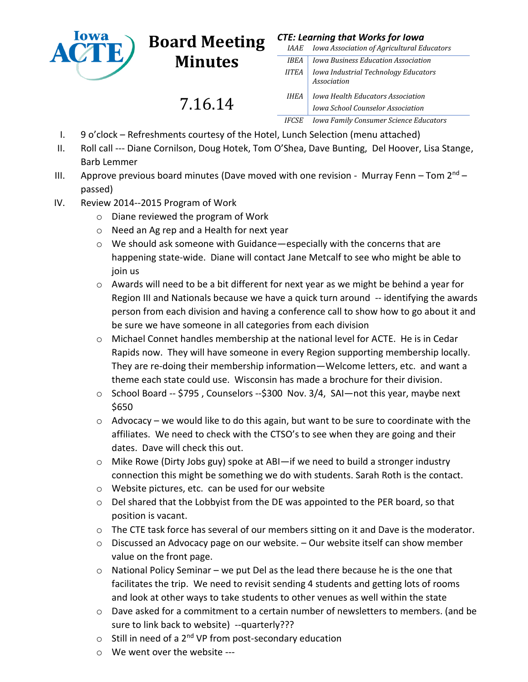

## **Board Meeting Minutes**

7.16.14

## *CTE: Learning that Works for Iowa*

| <i>IAAE</i>  | Iowa Association of Agricultural Educators                                    |
|--------------|-------------------------------------------------------------------------------|
| <b>IBEA</b>  | Iowa Business Education Association                                           |
| <b>IITEA</b> | Iowa Industrial Technology Educators<br>Association                           |
| IHEA         | Iowa Health Educators Association<br><b>Iowa School Counselor Association</b> |
| IFCSE        | <b>Iowa Family Consumer Science Educators</b>                                 |

- I. 9 o'clock Refreshments courtesy of the Hotel, Lunch Selection (menu attached)
- II. Roll call --- Diane Cornilson, Doug Hotek, Tom O'Shea, Dave Bunting, Del Hoover, Lisa Stange, Barb Lemmer
- III. Approve previous board minutes (Dave moved with one revision Murray Fenn Tom  $2<sup>nd</sup>$  passed)
- IV. Review 2014--2015 Program of Work
	- o Diane reviewed the program of Work
	- o Need an Ag rep and a Health for next year
	- o We should ask someone with Guidance—especially with the concerns that are happening state-wide. Diane will contact Jane Metcalf to see who might be able to join us
	- o Awards will need to be a bit different for next year as we might be behind a year for Region III and Nationals because we have a quick turn around -- identifying the awards person from each division and having a conference call to show how to go about it and be sure we have someone in all categories from each division
	- o Michael Connet handles membership at the national level for ACTE. He is in Cedar Rapids now. They will have someone in every Region supporting membership locally. They are re-doing their membership information—Welcome letters, etc. and want a theme each state could use. Wisconsin has made a brochure for their division.
	- $\circ$  School Board -- \$795, Counselors --\$300 Nov. 3/4, SAI—not this year, maybe next \$650
	- $\circ$  Advocacy we would like to do this again, but want to be sure to coordinate with the affiliates. We need to check with the CTSO's to see when they are going and their dates. Dave will check this out.
	- o Mike Rowe (Dirty Jobs guy) spoke at ABI—if we need to build a stronger industry connection this might be something we do with students. Sarah Roth is the contact.
	- o Website pictures, etc. can be used for our website
	- $\circ$  Del shared that the Lobbyist from the DE was appointed to the PER board, so that position is vacant.
	- $\circ$  The CTE task force has several of our members sitting on it and Dave is the moderator.
	- $\circ$  Discussed an Advocacy page on our website.  $-$  Our website itself can show member value on the front page.
	- $\circ$  National Policy Seminar we put Del as the lead there because he is the one that facilitates the trip. We need to revisit sending 4 students and getting lots of rooms and look at other ways to take students to other venues as well within the state
	- o Dave asked for a commitment to a certain number of newsletters to members. (and be sure to link back to website) --quarterly???
	- $\circ$  Still in need of a 2<sup>nd</sup> VP from post-secondary education
	- o We went over the website ---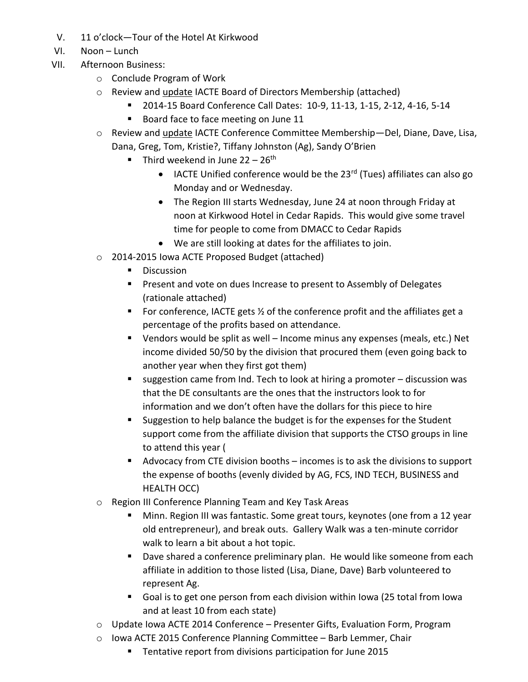- V. 11 o'clock—Tour of the Hotel At Kirkwood
- VI. Noon Lunch
- VII. Afternoon Business:
	- o Conclude Program of Work
	- o Review and update IACTE Board of Directors Membership (attached)
		- 2014-15 Board Conference Call Dates: 10-9, 11-13, 1-15, 2-12, 4-16, 5-14
			- Board face to face meeting on June 11
	- o Review and update IACTE Conference Committee Membership—Del, Diane, Dave, Lisa, Dana, Greg, Tom, Kristie?, Tiffany Johnston (Ag), Sandy O'Brien
		- Third weekend in June  $22 26$ <sup>th</sup>
			- $\bullet$  IACTE Unified conference would be the 23<sup>rd</sup> (Tues) affiliates can also go Monday and or Wednesday.
			- The Region III starts Wednesday, June 24 at noon through Friday at noon at Kirkwood Hotel in Cedar Rapids. This would give some travel time for people to come from DMACC to Cedar Rapids
			- We are still looking at dates for the affiliates to join.
	- o 2014-2015 Iowa ACTE Proposed Budget (attached)
		- **Discussion**
		- **Present and vote on dues Increase to present to Assembly of Delegates** (rationale attached)
		- For conference, IACTE gets  $\frac{1}{2}$  of the conference profit and the affiliates get a percentage of the profits based on attendance.
		- Vendors would be split as well Income minus any expenses (meals, etc.) Net income divided 50/50 by the division that procured them (even going back to another year when they first got them)
		- suggestion came from Ind. Tech to look at hiring a promoter discussion was that the DE consultants are the ones that the instructors look to for information and we don't often have the dollars for this piece to hire
		- Suggestion to help balance the budget is for the expenses for the Student support come from the affiliate division that supports the CTSO groups in line to attend this year (
		- Advocacy from CTE division booths incomes is to ask the divisions to support the expense of booths (evenly divided by AG, FCS, IND TECH, BUSINESS and HEALTH OCC)
	- o Region III Conference Planning Team and Key Task Areas
		- Minn. Region III was fantastic. Some great tours, keynotes (one from a 12 year old entrepreneur), and break outs. Gallery Walk was a ten-minute corridor walk to learn a bit about a hot topic.
		- **Dave shared a conference preliminary plan. He would like someone from each** affiliate in addition to those listed (Lisa, Diane, Dave) Barb volunteered to represent Ag.
		- Goal is to get one person from each division within Iowa (25 total from Iowa and at least 10 from each state)
	- o Update Iowa ACTE 2014 Conference Presenter Gifts, Evaluation Form, Program
	- o Iowa ACTE 2015 Conference Planning Committee Barb Lemmer, Chair
		- Tentative report from divisions participation for June 2015